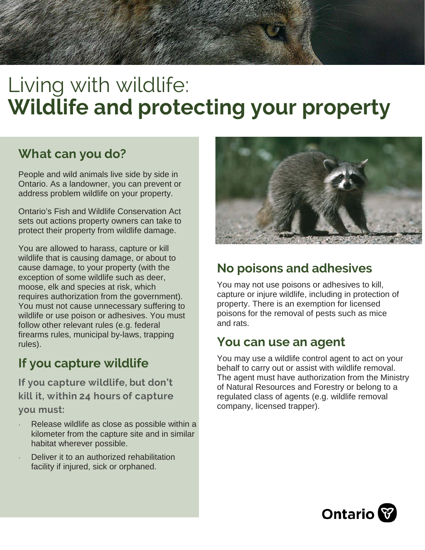# Living with wildlife: **Wildlife and protecting your property**

## **What can you do?**

People and wild animals live side by side in Ontario. As a landowner, you can prevent or address problem wildlife on your property.

Ontario's [Fish and Wildlife Conservation Act](https://www.ontario.ca/laws/statute/97f41) sets out actions property owners can take to protect their property from wildlife damage.

You are all[owed to harass, capture or kill](https://www.ontario.ca/laws/statute/97f41) wildlife that is causing damage, or about to cause damage, to your property (with the exception of some wildlife such as deer, moose, elk and species at risk, which requires authorization from the government). You must not cause unnecessary suffering to wildlife or use poison or adhesives. You must follow other relevant rules (e.g. federal firearms rules, municipal by-laws, trapping rules).

## **If you capture wildlife**

**If you capture wildlife, but don't kill it, within 24 hours of capture you must:**

- Release wildlife as close as possible within a kilometer from the capture site and in similar habitat wherever possible.
- Deliver it to an authorized rehabilitation facility if injured, sick or orphaned.



## **No poisons and adhesives**

You may not use poisons or adhesives to kill, capture or injure wildlife, including in protection of property. There is an exemption for licensed poisons for the removal of pests such as mice and rats.

## **You can use an agent**

You may use a wildlife control agent to act on your behalf to carry out or assist with wildlife removal. The agent must have authorization from the Ministry of Natural Resources and Forestry or belong to a regulated class of agents (e.g. wildlife removal company, licensed trapper).